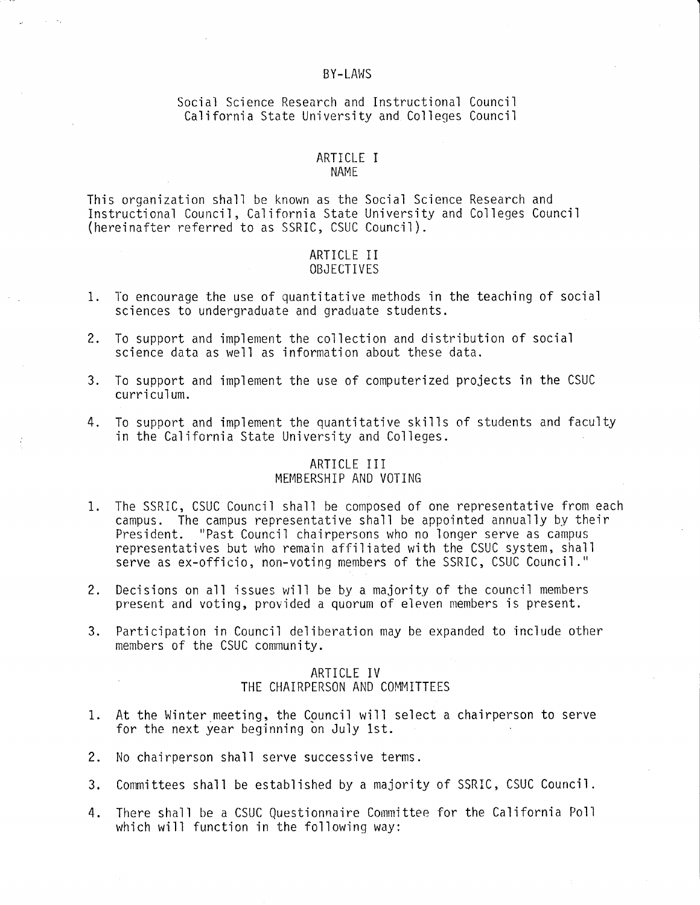#### BY-LAWS

# Social Science Research and Instructional Council California State University and Colleges Council

#### ARTICLE I NAME

This organization shall be known as the Social Science Research and Instructional Council, California State University and Colleges Council (hereinafter referred to as SSRIC, CSUC Council).

### ARTICLE I I OBJECTIVES

- 1. To encourage the use of quantitative methods in the teaching of social sciences to undergraduate and graduate students.
- 2. To support and implement the collection and distribution of social science data as well as information about these data.
- 3. To support and implement the use of computerized projects in the CSUC curriculum.
- 4. To support and implement the quantitative skills of students and faculty in the California State University and Colleges.

# ARTICLE III

# MEMBERSHIP AND VOTING

- 1. The SSRIC, CSUC Council shall be composed of one representative from each campus. The campus representative shall be appointed annually by their President. "Past Council chairpersons who no longer serve as campus representatives but who remain affiliated with the CSUC system, shall serve as ex-officio, non-voting members of the SSRIC, CSUC Council."
- 2. Decisions on all issues will be by a majority of the council members present and voting, provided a quorum of eleven members is present.
- 3. Participation in Council deliberation may be expanded to include other members of the CSUC community.

### ARTICLE IV THE CHAIRPERSON AND COMMITTEES

- 1. At the Winter meeting, the Council will select a chairperson to serve for the next year beginning on July 1st.
- 2. No chairperson shall serve successive terms.
- 3. Committees shall be established by a majority of SSRIC, CSUC Council.
- 4. There shall be a CSUC Questionnaire Committee for the California Poll which will function in the following way: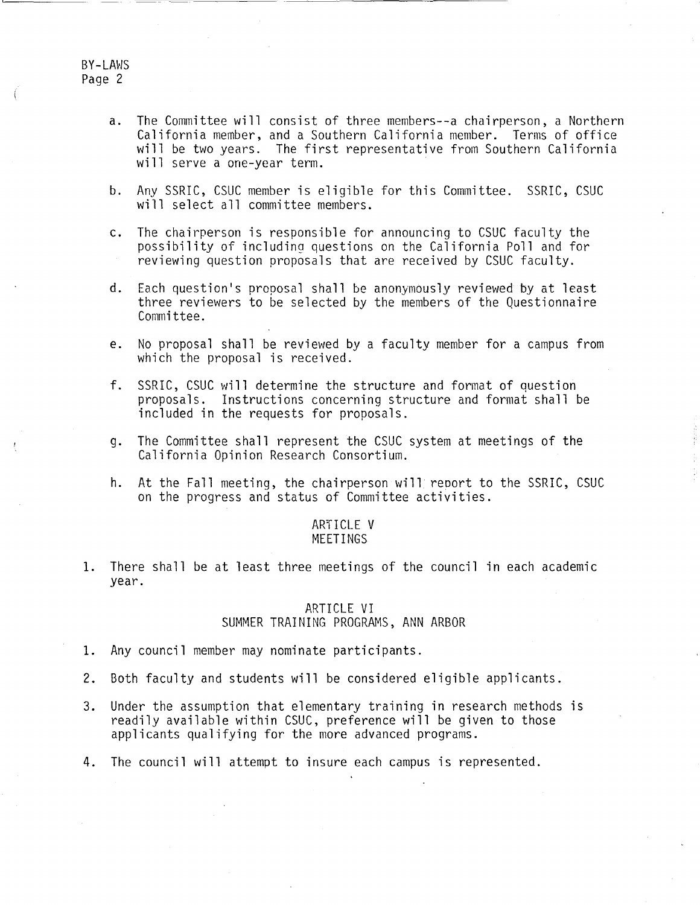BY-LAWS Page 2

- a. The Committee will consist of three members--a chairperson, a Northern California member, and a Southern California member. Terms of office will be two years. The first representative from Southern California will serve a one-year term.
- b. Any SSRIC, CSUC member is eligible for this Committee. SSRIC, CSUC will select all committee members.
- c. The chairperson is responsible for announcing to CSUC faculty the possibility of including questions on the California Poll and for reviewing question proposals that are received by CSUC faculty.
- d. Each question's proposal shall be anonymously reviewed by at least three reviewers to be selected by the members of the Questionnaire Committee.
- e. No proposal shall be reviewed by a faculty member for a campus from which the proposal is received.
- f. SSRIC, CSUC will determine the structure and format of question proposals. Instructions concerning structure and format shall be included in the requests for proposals.
- g. The Committee shall represent the CSUC system at meetings of the California Opinion Research Consortium.
- h. At the Fall meeting, the chairperson will reoort to the SSRIC, CSUC on the progress and status of Committee activities.

#### AR'fICLE V MEETINGS

1. There shall be at least three meetings of the council in each academic year.

## ARTICLE VI SUMMER TRAINING PROGRAMS, ANN ARBOR

- 1. Any council member may nominate participants.
- 2. Both faculty and students will be considered eligible applicants.
- 3. Under the assumption that elementary training in research methods is readily available within CSUC, preference will be given to those applicants qualifying for the more advanced programs.
- 4. The council will attempt to insure each campus is represented.